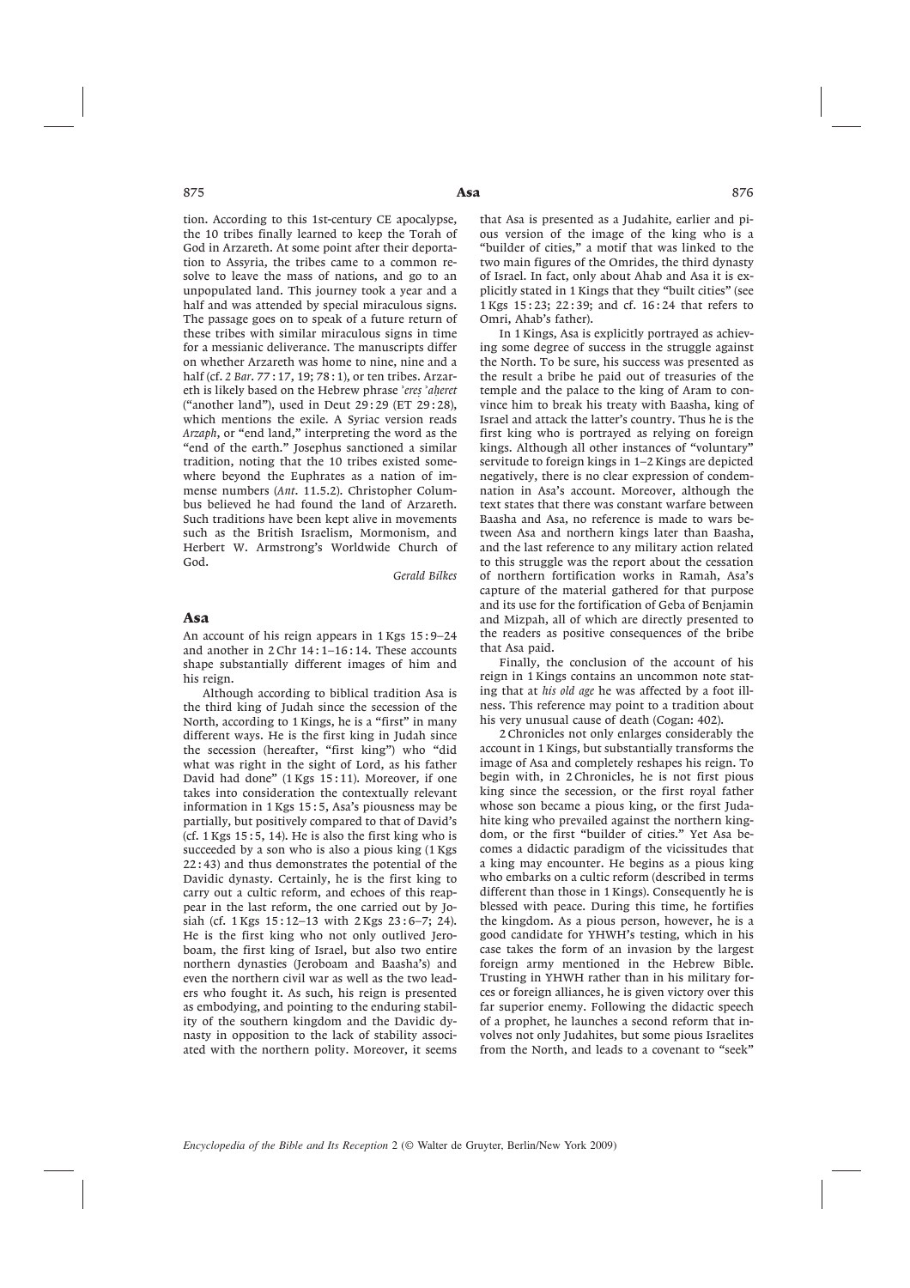875 **Asa** 

tion. According to this 1st-century CE apocalypse, the 10 tribes finally learned to keep the Torah of God in Arzareth. At some point after their deportation to Assyria, the tribes came to a common resolve to leave the mass of nations, and go to an unpopulated land. This journey took a year and a half and was attended by special miraculous signs. The passage goes on to speak of a future return of these tribes with similar miraculous signs in time for a messianic deliverance. The manuscripts differ on whether Arzareth was home to nine, nine and a half (cf. *2 Bar*. 77 : 17, 19; 78 : 1), or ten tribes. Arzareth is likely based on the Hebrew phrase *eresø ahøeret* ("another land"), used in Deut 29 : 29 (ET 29 : 28), which mentions the exile. A Syriac version reads *Arzaph*, or "end land," interpreting the word as the "end of the earth." Josephus sanctioned a similar tradition, noting that the 10 tribes existed somewhere beyond the Euphrates as a nation of immense numbers (*Ant*. 11.5.2). Christopher Columbus believed he had found the land of Arzareth. Such traditions have been kept alive in movements such as the British Israelism, Mormonism, and Herbert W. Armstrong's Worldwide Church of God.

*Gerald Bilkes*

#### Asa

An account of his reign appears in 1 Kgs 15 : 9–24 and another in 2 Chr 14 : 1–16 : 14. These accounts shape substantially different images of him and his reign.

Although according to biblical tradition Asa is the third king of Judah since the secession of the North, according to 1 Kings, he is a "first" in many different ways. He is the first king in Judah since the secession (hereafter, "first king") who "did what was right in the sight of Lord, as his father David had done" (1 Kgs 15:11). Moreover, if one takes into consideration the contextually relevant information in 1 Kgs 15:5, Asa's piousness may be partially, but positively compared to that of David's  $(cf. 1 Kgs 15:5, 14)$ . He is also the first king who is succeeded by a son who is also a pious king (1 Kgs 22 : 43) and thus demonstrates the potential of the Davidic dynasty. Certainly, he is the first king to carry out a cultic reform, and echoes of this reappear in the last reform, the one carried out by Josiah (cf. 1 Kgs 15 : 12–13 with 2 Kgs 23 : 6–7; 24). He is the first king who not only outlived Jeroboam, the first king of Israel, but also two entire northern dynasties (Jeroboam and Baasha's) and even the northern civil war as well as the two leaders who fought it. As such, his reign is presented as embodying, and pointing to the enduring stability of the southern kingdom and the Davidic dynasty in opposition to the lack of stability associated with the northern polity. Moreover, it seems

that Asa is presented as a Judahite, earlier and pious version of the image of the king who is a "builder of cities," a motif that was linked to the two main figures of the Omrides, the third dynasty of Israel. In fact, only about Ahab and Asa it is explicitly stated in 1 Kings that they "built cities" (see 1 Kgs 15 : 23; 22 : 39; and cf. 16 : 24 that refers to Omri, Ahab's father).

In 1 Kings, Asa is explicitly portrayed as achieving some degree of success in the struggle against the North. To be sure, his success was presented as the result a bribe he paid out of treasuries of the temple and the palace to the king of Aram to convince him to break his treaty with Baasha, king of Israel and attack the latter's country. Thus he is the first king who is portrayed as relying on foreign kings. Although all other instances of "voluntary" servitude to foreign kings in 1–2 Kings are depicted negatively, there is no clear expression of condemnation in Asa's account. Moreover, although the text states that there was constant warfare between Baasha and Asa, no reference is made to wars between Asa and northern kings later than Baasha, and the last reference to any military action related to this struggle was the report about the cessation of northern fortification works in Ramah, Asa's capture of the material gathered for that purpose and its use for the fortification of Geba of Benjamin and Mizpah, all of which are directly presented to the readers as positive consequences of the bribe that Asa paid.

Finally, the conclusion of the account of his reign in 1 Kings contains an uncommon note stating that at *his old age* he was affected by a foot illness. This reference may point to a tradition about his very unusual cause of death (Cogan: 402).

2 Chronicles not only enlarges considerably the account in 1 Kings, but substantially transforms the image of Asa and completely reshapes his reign. To begin with, in 2 Chronicles, he is not first pious king since the secession, or the first royal father whose son became a pious king, or the first Judahite king who prevailed against the northern kingdom, or the first "builder of cities." Yet Asa becomes a didactic paradigm of the vicissitudes that a king may encounter. He begins as a pious king who embarks on a cultic reform (described in terms different than those in 1 Kings). Consequently he is blessed with peace. During this time, he fortifies the kingdom. As a pious person, however, he is a good candidate for YHWH's testing, which in his case takes the form of an invasion by the largest foreign army mentioned in the Hebrew Bible. Trusting in YHWH rather than in his military forces or foreign alliances, he is given victory over this far superior enemy. Following the didactic speech of a prophet, he launches a second reform that involves not only Judahites, but some pious Israelites from the North, and leads to a covenant to "seek"